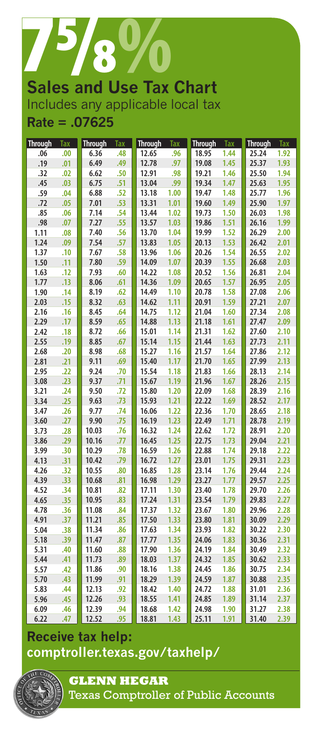

# **Sales and Use Tax Chart** Includes any applicable local tax **Rate = .07625**

| <b>Through</b> | Tax | <b>Through</b> | <b>Tax</b> | <b>Through</b> | Tax  | <b>Through</b> | Tax  | <b>Through</b> | Tax  |
|----------------|-----|----------------|------------|----------------|------|----------------|------|----------------|------|
| .06            | .00 | 6.36           | .48        | 12.65          | .96  | 18.95          | 1.44 | 25.24          | 1.92 |
| .19            | .01 | 6.49           | .49        | 12.78          | .97  | 19.08          | 1.45 | 25.37          | 1.93 |
| .32            | .02 | 6.62           | .50        | 12.91          | .98  | 19.21          | 1.46 | 25.50          | 1.94 |
| .45            | .03 | 6.75           | .51        | 13.04          | .99  | 19.34          | 1.47 | 25.63          | 1.95 |
| .59            | .04 | 6.88           | .52        | 13.18          | 1.00 | 19.47          | 1.48 | 25.77          | 1.96 |
| .72            | .05 | 7.01           | .53        | 13.31          | 1.01 | 19.60          | 1.49 | 25.90          | 1.97 |
| .85            | .06 | 7.14           | .54        | 13.44          | 1.02 | 19.73          | 1.50 | 26.03          | 1.98 |
| .98            | .07 | 7.27           | .55        | 13.57          | 1.03 | 19.86          | 1.51 | 26.16          | 1.99 |
| 1.11           | .08 | 7.40           | .56        | 13.70          | 1.04 | 19.99          | 1.52 | 26.29          | 2.00 |
| 1.24           | .09 | 7.54           | .57        | 13.83          | 1.05 | 20.13          | 1.53 | 26.42          | 2.01 |
| 1.37           | .10 | 7.67           | .58        | 13.96          | 1.06 | 20.26          | 1.54 | 26.55          | 2.02 |
| 1.50           | .11 | 7.80           | .59        | 14.09          | 1.07 | 20.39          | 1.55 | 26.68          | 2.03 |
| 1.63           | .12 | 7.93           | .60        | 14.22          | 1.08 | 20.52          | 1.56 | 26.81          | 2.04 |
| 1.77           | .13 | 8.06           | .61        | 14.36          | 1.09 | 20.65          | 1.57 | 26.95          | 2.05 |
| 1.90           | .14 | 8.19           | .62        | 14.49          | 1.10 | 20.78          | 1.58 | 27.08          | 2.06 |
| 2.03           | .15 | 8.32           | .63        | 14.62          | 1.11 | 20.91          | 1.59 | 27.21          | 2.07 |
| 2.16           | .16 | 8.45           | .64        | 14.75          | 1.12 | 21.04          | 1.60 | 27.34          | 2.08 |
| 2.29           | .17 | 8.59           | .65        | 14.88          | 1.13 | 21.18          | 1.61 | 27.47          | 2.09 |
| 2.42           | .18 | 8.72           | .66        | 15.01          | 1.14 | 21.31          | 1.62 | 27.60          | 2.10 |
| 2.55           | .19 | 8.85           | .67        | 15.14          | 1.15 | 21.44          | 1.63 | 27.73          | 2.11 |
| 2.68           | .20 | 8.98           | .68        | 15.27          | 1.16 | 21.57          | 1.64 | 27.86          | 2.12 |
| 2.81           | .21 | 9.11           | .69        | 15.40          | 1.17 | 21.70          | 1.65 | 27.99          | 2.13 |
| 2.95           | .22 | 9.24           | .70        | 15.54          | 1.18 | 21.83          | 1.66 | 28.13          | 2.14 |
| 3.08           | .23 | 9.37           | .71        | 15.67          | 1.19 | 21.96          | 1.67 | 28.26          | 2.15 |
| 3.21           | .24 | 9.50           | .72        | 15.80          | 1.20 | 22.09          | 1.68 | 28.39          | 2.16 |
| 3.34           | .25 | 9.63           | .73        | 15.93          | 1.21 | 22.22          | 1.69 | 28.52          | 2.17 |
| 3.47           | .26 | 9.77           | .74        | 16.06          | 1.22 | 22.36          | 1.70 | 28.65          | 2.18 |
| 3.60           | .27 | 9.90           | .75        | 16.19          | 1.23 | 22.49          | 1.71 | 28.78          | 2.19 |
| 3.73           | .28 | 10.03          | .76        | 16.32          | 1.24 | 22.62          | 1.72 | 28.91          | 2.20 |
| 3.86           | .29 | 10.16          | .77        | 16.45          | 1.25 | 22.75          | 1.73 | 29.04          | 2.21 |
| 3.99           | .30 | 10.29          | .78        | 16.59          | 1.26 | 22.88          | 1.74 | 29.18          | 2.22 |
| 4.13           | .31 | 10.42          | .79        | 16.72          | 1.27 | 23.01          | 1.75 | 29.31          | 2.23 |
| 4.26           | .32 | 10.55          | .80        | 16.85          | 1.28 | 23.14          | 1.76 | 29.44          | 2.24 |
| 4.39           | .33 | 10.68          | .81        | 16.98          | 1.29 | 23.27          | 1.77 | 29.57          | 2.25 |
| 4.52           | .34 | 10.81          | .82        | 17.11          | 1.30 | 23.40          | 1.78 | 29.70          | 2.26 |
| 4.65           | .35 | 10.95          | .83        | 17.24          | 1.31 | 23.54          | 1.79 | 29.83          | 2.27 |
| 4.78           | .36 | 11.08          | .84        | 17.37          | 1.32 | 23.67          | 1.80 | 29.96          | 2.28 |
| 4.91           | .37 | 11.21          | .85        | 17.50          | 1.33 | 23.80          | 1.81 | 30.09          | 2.29 |
| 5.04           | .38 | 11.34          | .86        | 17.63          | 1.34 | 23.93          | 1.82 | 30.22          | 2.30 |
| 5.18           | .39 | 11.47          | .87        | 17.77          | 1.35 | 24.06          | 1.83 | 30.36          | 2.31 |
| 5.31           | .40 | 11.60          | .88        | 17.90          | 1.36 | 24.19          | 1.84 | 30.49          | 2.32 |
| 5.44           | .41 | 11.73          | .89        | 18.03          | 1.37 | 24.32          | 1.85 | 30.62          | 2.33 |
| 5.57           | .42 | 11.86          | .90        | 18.16          | 1.38 | 24.45          | 1.86 | 30.75          | 2.34 |
| 5.70           | .43 | 11.99          | .91        | 18.29          | 1.39 | 24.59          | 1.87 | 30.88          | 2.35 |
| 5.83           | .44 | 12.13          | .92        | 18.42          | 1.40 | 24.72          | 1.88 | 31.01          | 2.36 |
| 5.96           | .45 | 12.26          | .93        | 18.55          | 1.41 | 24.85          | 1.89 | 31.14          | 2.37 |
| 6.09           | .46 | 12.39          | .94        | 18.68          | 1.42 | 24.98          | 1.90 | 31.27          | 2.38 |
| 6.22           | .47 | 12.52          | .95        | 18.81          | 1.43 | 25.11          | 1.91 | 31.40          | 2.39 |

## **Receive tax help: [comptroller.texas.gov/taxhelp/](http://www.comptroller.texas.gov/taxhelp/)**



**GLENN HEGAR**  Texas Comptroller of Public Accounts